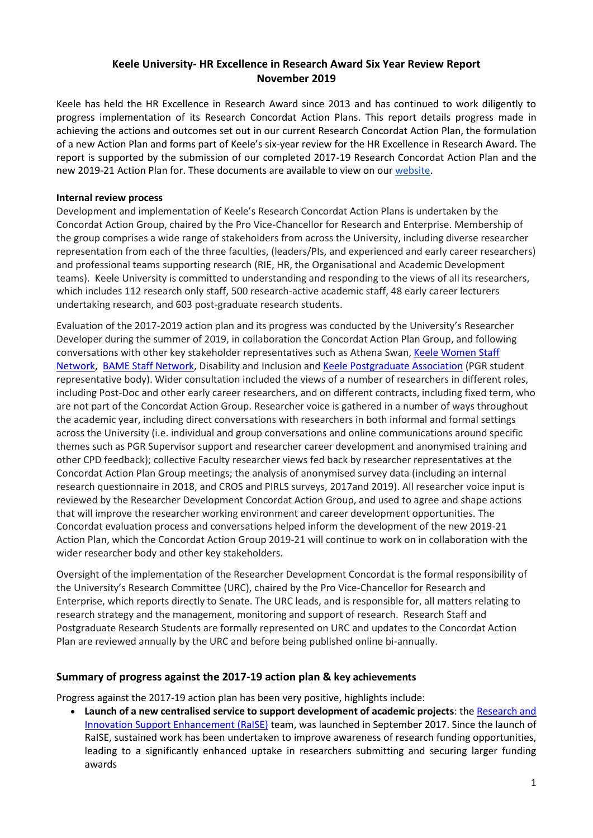# **Keele University- HR Excellence in Research Award Six Year Review Report November 2019**

Keele has held the HR Excellence in Research Award since 2013 and has continued to work diligently to progress implementation of its Research Concordat Action Plans. This report details progress made in achieving the actions and outcomes set out in our current Research Concordat Action Plan, the formulation of a new Action Plan and forms part of Keele's six-year review for the HR Excellence in Research Award. The report is supported by the submission of our completed 2017-19 Research Concordat Action Plan and the new 2019-21 Action Plan for. These documents are available to view on ou[r website.](https://www.keele.ac.uk/excellenceinresearch)

### **Internal review process**

Development and implementation of Keele's Research Concordat Action Plans is undertaken by the Concordat Action Group, chaired by the Pro Vice-Chancellor for Research and Enterprise. Membership of the group comprises a wide range of stakeholders from across the University, including diverse researcher representation from each of the three faculties, (leaders/PIs, and experienced and early career researchers) and professional teams supporting research (RIE, HR, the Organisational and Academic Development teams). Keele University is committed to understanding and responding to the views of all its researchers, which includes 112 research only staff, 500 research-active academic staff, 48 early career lecturers undertaking research, and 603 post-graduate research students.

Evaluation of the 2017-2019 action plan and its progress was conducted by the University's Researcher Developer during the summer of 2019, in collaboration the Concordat Action Plan Group, and following conversations with other key stakeholder representatives such as Athena Swan, Keele Women Staff [Network,](https://www.keele.ac.uk/equalitydiversity/equalityawards/athenaswan/keelewomenstaffnetwork/) [BAME Staff Network,](https://www.keele.ac.uk/equalitydiversity/networksandsupportforstaffandstudents/bamestaffnetwork/) Disability and Inclusion an[d Keele Postgraduate Association](https://www.kpa.org.uk/) (PGR student representative body). Wider consultation included the views of a number of researchers in different roles, including Post-Doc and other early career researchers, and on different contracts, including fixed term, who are not part of the Concordat Action Group. Researcher voice is gathered in a number of ways throughout the academic year, including direct conversations with researchers in both informal and formal settings across the University (i.e. individual and group conversations and online communications around specific themes such as PGR Supervisor support and researcher career development and anonymised training and other CPD feedback); collective Faculty researcher views fed back by researcher representatives at the Concordat Action Plan Group meetings; the analysis of anonymised survey data (including an internal research questionnaire in 2018, and CROS and PIRLS surveys, 2017and 2019). All researcher voice input is reviewed by the Researcher Development Concordat Action Group, and used to agree and shape actions that will improve the researcher working environment and career development opportunities. The Concordat evaluation process and conversations helped inform the development of the new 2019-21 Action Plan, which the Concordat Action Group 2019-21 will continue to work on in collaboration with the wider researcher body and other key stakeholders.

Oversight of the implementation of the Researcher Development Concordat is the formal responsibility of the University's Research Committee (URC), chaired by the Pro Vice-Chancellor for Research and Enterprise, which reports directly to Senate. The URC leads, and is responsible for, all matters relating to research strategy and the management, monitoring and support of research. Research Staff and Postgraduate Research Students are formally represented on URC and updates to the Concordat Action Plan are reviewed annually by the URC and before being published online bi-annually.

# **Summary of progress against the 2017-19 action plan & key achievements**

Progress against the 2017-19 action plan has been very positive, highlights include:

**.** Launch of a new centralised service to support development of academic projects: the Research and [Innovation Support Enhancement \(RaISE\)](https://www.keele.ac.uk/research/raise/researchexcellenceframework/) team, was launched in September 2017. Since the launch of RaISE, sustained work has been undertaken to improve awareness of research funding opportunities, leading to a significantly enhanced uptake in researchers submitting and securing larger funding awards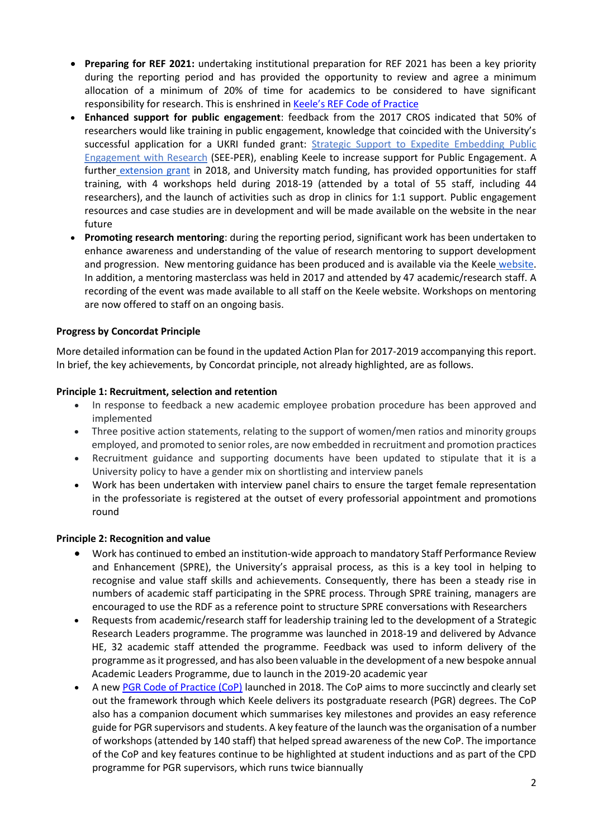- **Preparing for REF 2021:** undertaking institutional preparation for REF 2021 has been a key priority during the reporting period and has provided the opportunity to review and agree a minimum allocation of a minimum of 20% of time for academics to be considered to have significant responsibility for research. This is enshrined in [Keele's REF Code of](https://www.keele.ac.uk/research/raise/researchexcellenceframework/) Practice
- **Enhanced support for public engagement**: feedback from the 2017 CROS indicated that 50% of researchers would like training in public engagement, knowledge that coincided with the University's successful application for a UKRI funded grant: [Strategic Support to Expedite Embedding Public](https://www.keele.ac.uk/pressreleases/2017/rcukfundingwillenrichpublicengagementatkeeleuniversity.php)  [Engagement with Research](https://www.keele.ac.uk/pressreleases/2017/rcukfundingwillenrichpublicengagementatkeeleuniversity.php) (SEE-PER), enabling Keele to increase support for Public Engagement. A further [extension grant](https://www.keele.ac.uk/research/researchnews/2018/october/keele-funding-award/expand-public-engagement-with-research.php) in 2018, and University match funding, has provided opportunities for staff training, with 4 workshops held during 2018-19 (attended by a total of 55 staff, including 44 researchers), and the launch of activities such as drop in clinics for 1:1 support. Public engagement resources and case studies are in development and will be made available on the website in the near future
- **Promoting research mentoring**: during the reporting period, significant work has been undertaken to enhance awareness and understanding of the value of research mentoring to support development and progression. New mentoring guidance has been produced and is available via the Keele [website.](https://www.keele.ac.uk/organisationaldevelopment/resources/mentoringresources/) In addition, a mentoring masterclass was held in 2017 and attended by 47 academic/research staff. A recording of the event was made available to all staff on the Keele website. Workshops on mentoring are now offered to staff on an ongoing basis.

### **Progress by Concordat Principle**

More detailed information can be found in the updated Action Plan for 2017-2019 accompanying this report. In brief, the key achievements, by Concordat principle, not already highlighted, are as follows.

#### **Principle 1: Recruitment, selection and retention**

- In response to feedback a new academic employee probation procedure has been approved and implemented
- Three positive action statements, relating to the support of women/men ratios and minority groups employed, and promoted to senior roles, are now embedded in recruitment and promotion practices
- Recruitment guidance and supporting documents have been updated to stipulate that it is a University policy to have a gender mix on shortlisting and interview panels
- Work has been undertaken with interview panel chairs to ensure the target female representation in the professoriate is registered at the outset of every professorial appointment and promotions round

#### **Principle 2: Recognition and value**

- Work has continued to embed an institution-wide approach to mandatory Staff Performance Review and Enhancement (SPRE), the University's appraisal process, as this is a key tool in helping to recognise and value staff skills and achievements. Consequently, there has been a steady rise in numbers of academic staff participating in the SPRE process. Through SPRE training, managers are encouraged to use the RDF as a reference point to structure SPRE conversations with Researchers
- Requests from academic/research staff for leadership training led to the development of a Strategic Research Leaders programme. The programme was launched in 2018-19 and delivered by Advance HE, 32 academic staff attended the programme. Feedback was used to inform delivery of the programme as it progressed, and has also been valuable in the development of a new bespoke annual Academic Leaders Programme, due to launch in the 2019-20 academic year
- A new [PGR Code of Practice \(CoP\)](https://www.keele.ac.uk/students/academiclife/currentpgrstudents/pgrcodeofpractice/) launched in 2018. The CoP aims to more succinctly and clearly set out the framework through which Keele delivers its postgraduate research (PGR) degrees. The CoP also has a companion document which summarises key milestones and provides an easy reference guide for PGR supervisors and students. A key feature of the launch wasthe organisation of a number of workshops (attended by 140 staff) that helped spread awareness of the new CoP. The importance of the CoP and key features continue to be highlighted at student inductions and as part of the CPD programme for PGR supervisors, which runs twice biannually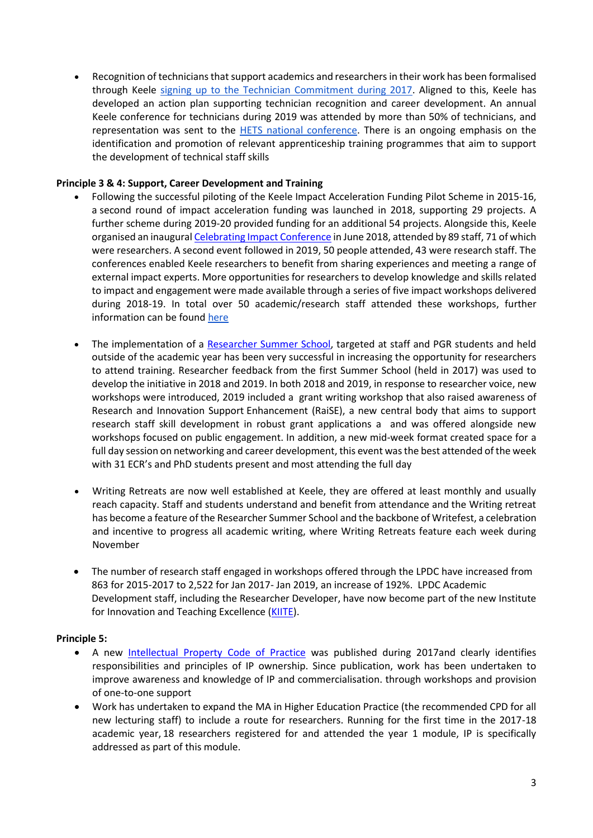Recognition of technicians that support academics and researchers in their work has been formalised through Keele [signing up to the Technician Commitment during 2017.](https://www.keele.ac.uk/organisationaldevelopment/technicalservices/techniciancommitment/techniciancommitmentatkeele/) Aligned to this, Keele has developed an action plan supporting technician recognition and career development. An annual Keele conference for technicians during 2019 was attended by more than 50% of technicians, and representation was sent to the [HETS national conference.](http://www.midlandsinnovation.org.uk/programmes/hets2019.aspx) There is an ongoing emphasis on the identification and promotion of relevant apprenticeship training programmes that aim to support the development of technical staff skills

# **Principle 3 & 4: Support, Career Development and Training**

- Following the successful piloting of the Keele Impact Acceleration Funding Pilot Scheme in 2015-16, a second round of impact acceleration funding was launched in 2018, supporting 29 projects. A further scheme during 2019-20 provided funding for an additional 54 projects. Alongside this, Keele organised an inaugura[l Celebrating Impact Conference](https://www.keele.ac.uk/research/raise/supportingimpact/celebratingimpactconference/) in June 2018, attended by 89 staff, 71 of which were researchers. A second event followed in 2019, 50 people attended, 43 were research staff. The conferences enabled Keele researchers to benefit from sharing experiences and meeting a range of external impact experts. More opportunities for researchers to develop knowledge and skills related to impact and engagement were made available through a series of five impact workshops delivered during 2018-19. In total over 50 academic/research staff attended these workshops, further information can be found here
- The implementation of a [Researcher Summer School,](https://www.keele.ac.uk/academicdevelopment/research/researchersummerschool/) targeted at staff and PGR students and held outside of the academic year has been very successful in increasing the opportunity for researchers to attend training. Researcher feedback from the first Summer School (held in 2017) was used to develop the initiative in 2018 and 2019. In both 2018 and 2019, in response to researcher voice, new workshops were introduced, 2019 included a grant writing workshop that also raised awareness of Research and Innovation Support Enhancement (RaiSE), a new central body that aims to support research staff skill development in robust grant applications a and was offered alongside new workshops focused on public engagement. In addition, a new mid-week format created space for a full day session on networking and career development, this event was the best attended of the week with 31 ECR's and PhD students present and most attending the full day
- Writing Retreats are now well established at Keele, they are offered at least monthly and usually reach capacity. Staff and students understand and benefit from attendance and the Writing retreat has become a feature of the Researcher Summer School and the backbone of Writefest, a celebration and incentive to progress all academic writing, where Writing Retreats feature each week during November
- The number of research staff engaged in workshops offered through the LPDC have increased from 863 for 2015-2017 to 2,522 for Jan 2017- Jan 2019, an increase of 192%. LPDC Academic Development staff, including the Researcher Developer, have now become part of the new Institute for Innovation and Teaching Excellence [\(KIITE\)](https://www.keele.ac.uk/kiite/conferences/researchersummerschool/).

# **Principle 5:**

- A new [Intellectual Property Code of Practice](https://www.keele.ac.uk/media/keeleuniversity/policyzone20/studentandacademicservices/IP%20Management%20Code%20of%20Practice%202017%20v2.0%20FINAL.pdf) was published during 2017and clearly identifies responsibilities and principles of IP ownership. Since publication, work has been undertaken to improve awareness and knowledge of IP and commercialisation. through workshops and provision of one-to-one support
- Work has undertaken to expand the MA in Higher Education Practice (the recommended CPD for all new lecturing staff) to include a route for researchers. Running for the first time in the 2017-18 academic year, 18 researchers registered for and attended the year 1 module, IP is specifically addressed as part of this module.